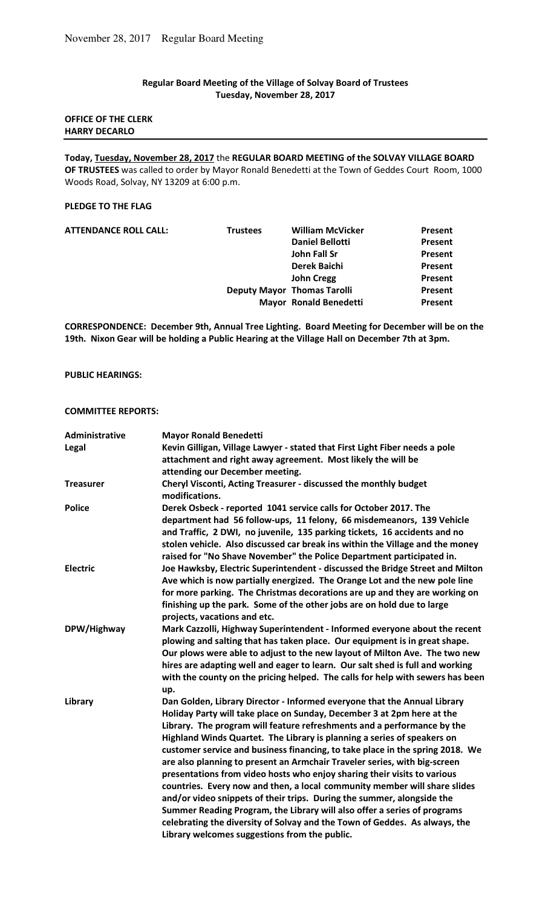# **Regular Board Meeting of the Village of Solvay Board of Trustees Tuesday, November 28, 2017**

### **OFFICE OF THE CLERK HARRY DECARLO**

**Today, Tuesday, November 28, 2017** the **REGULAR BOARD MEETING of the SOLVAY VILLAGE BOARD OF TRUSTEES** was called to order by Mayor Ronald Benedetti at the Town of Geddes Court Room, 1000 Woods Road, Solvay, NY 13209 at 6:00 p.m.

#### **PLEDGE TO THE FLAG**

| <b>ATTENDANCE ROLL CALL:</b> | <b>Trustees</b> | <b>William McVicker</b>            | Present        |
|------------------------------|-----------------|------------------------------------|----------------|
|                              |                 | <b>Daniel Bellotti</b>             | Present        |
|                              |                 | John Fall Sr                       | Present        |
|                              |                 | <b>Derek Baichi</b>                | Present        |
|                              |                 | <b>John Cregg</b>                  | Present        |
|                              |                 | <b>Deputy Mayor Thomas Tarolli</b> | Present        |
|                              |                 | <b>Mayor Ronald Benedetti</b>      | <b>Present</b> |
|                              |                 |                                    |                |

**CORRESPONDENCE: December 9th, Annual Tree Lighting. Board Meeting for December will be on the 19th. Nixon Gear will be holding a Public Hearing at the Village Hall on December 7th at 3pm.** 

### **PUBLIC HEARINGS:**

### **COMMITTEE REPORTS:**

| Administrative   | <b>Mayor Ronald Benedetti</b>                                                                                                                                                                                                                                                                                                                                                                                                                                                                                                                                                                                                                                                                                                                                                                                                                                                                                        |
|------------------|----------------------------------------------------------------------------------------------------------------------------------------------------------------------------------------------------------------------------------------------------------------------------------------------------------------------------------------------------------------------------------------------------------------------------------------------------------------------------------------------------------------------------------------------------------------------------------------------------------------------------------------------------------------------------------------------------------------------------------------------------------------------------------------------------------------------------------------------------------------------------------------------------------------------|
| Legal            | Kevin Gilligan, Village Lawyer - stated that First Light Fiber needs a pole                                                                                                                                                                                                                                                                                                                                                                                                                                                                                                                                                                                                                                                                                                                                                                                                                                          |
|                  | attachment and right away agreement. Most likely the will be                                                                                                                                                                                                                                                                                                                                                                                                                                                                                                                                                                                                                                                                                                                                                                                                                                                         |
|                  | attending our December meeting.                                                                                                                                                                                                                                                                                                                                                                                                                                                                                                                                                                                                                                                                                                                                                                                                                                                                                      |
| <b>Treasurer</b> | Cheryl Visconti, Acting Treasurer - discussed the monthly budget<br>modifications.                                                                                                                                                                                                                                                                                                                                                                                                                                                                                                                                                                                                                                                                                                                                                                                                                                   |
| <b>Police</b>    | Derek Osbeck - reported 1041 service calls for October 2017. The<br>department had 56 follow-ups, 11 felony, 66 misdemeanors, 139 Vehicle<br>and Traffic, 2 DWI, no juvenile, 135 parking tickets, 16 accidents and no<br>stolen vehicle. Also discussed car break ins within the Village and the money<br>raised for "No Shave November" the Police Department participated in.                                                                                                                                                                                                                                                                                                                                                                                                                                                                                                                                     |
| <b>Electric</b>  | Joe Hawksby, Electric Superintendent - discussed the Bridge Street and Milton<br>Ave which is now partially energized. The Orange Lot and the new pole line<br>for more parking. The Christmas decorations are up and they are working on<br>finishing up the park. Some of the other jobs are on hold due to large<br>projects, vacations and etc.                                                                                                                                                                                                                                                                                                                                                                                                                                                                                                                                                                  |
| DPW/Highway      | Mark Cazzolli, Highway Superintendent - Informed everyone about the recent<br>plowing and salting that has taken place. Our equipment is in great shape.<br>Our plows were able to adjust to the new layout of Milton Ave. The two new<br>hires are adapting well and eager to learn. Our salt shed is full and working<br>with the county on the pricing helped. The calls for help with sewers has been<br>up.                                                                                                                                                                                                                                                                                                                                                                                                                                                                                                     |
| Library          | Dan Golden, Library Director - Informed everyone that the Annual Library<br>Holiday Party will take place on Sunday, December 3 at 2pm here at the<br>Library. The program will feature refreshments and a performance by the<br>Highland Winds Quartet. The Library is planning a series of speakers on<br>customer service and business financing, to take place in the spring 2018. We<br>are also planning to present an Armchair Traveler series, with big-screen<br>presentations from video hosts who enjoy sharing their visits to various<br>countries. Every now and then, a local community member will share slides<br>and/or video snippets of their trips. During the summer, alongside the<br>Summer Reading Program, the Library will also offer a series of programs<br>celebrating the diversity of Solvay and the Town of Geddes. As always, the<br>Library welcomes suggestions from the public. |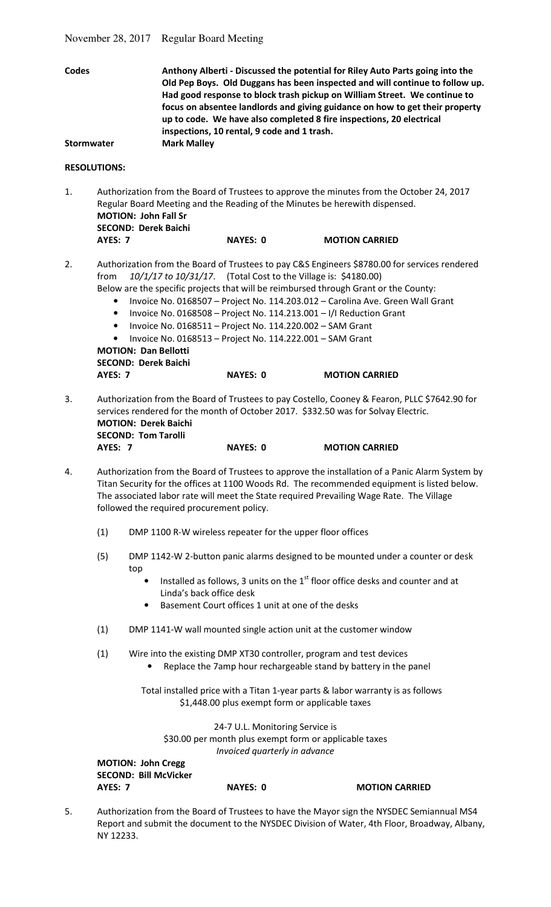|                                   |                                                                                                                                                                                                                                                                                                                                         |                                                                                                                                                                                                                                                                                                                                                                                                                                                                                                                                                                                                          | November 28, 2017 Regular Board Meeting                    |                                                   |                                                                                                                                                                               |
|-----------------------------------|-----------------------------------------------------------------------------------------------------------------------------------------------------------------------------------------------------------------------------------------------------------------------------------------------------------------------------------------|----------------------------------------------------------------------------------------------------------------------------------------------------------------------------------------------------------------------------------------------------------------------------------------------------------------------------------------------------------------------------------------------------------------------------------------------------------------------------------------------------------------------------------------------------------------------------------------------------------|------------------------------------------------------------|---------------------------------------------------|-------------------------------------------------------------------------------------------------------------------------------------------------------------------------------|
| <b>Codes</b><br><b>Stormwater</b> |                                                                                                                                                                                                                                                                                                                                         | Anthony Alberti - Discussed the potential for Riley Auto Parts going into the<br>Old Pep Boys. Old Duggans has been inspected and will continue to follow up.<br>Had good response to block trash pickup on William Street. We continue to<br>focus on absentee landlords and giving guidance on how to get their property<br>up to code. We have also completed 8 fire inspections, 20 electrical<br>inspections, 10 rental, 9 code and 1 trash.<br><b>Mark Malley</b>                                                                                                                                  |                                                            |                                                   |                                                                                                                                                                               |
|                                   | <b>RESOLUTIONS:</b>                                                                                                                                                                                                                                                                                                                     |                                                                                                                                                                                                                                                                                                                                                                                                                                                                                                                                                                                                          |                                                            |                                                   |                                                                                                                                                                               |
| 1.                                | Authorization from the Board of Trustees to approve the minutes from the October 24, 2017<br>Regular Board Meeting and the Reading of the Minutes be herewith dispensed.<br><b>MOTION: John Fall Sr</b><br><b>SECOND: Derek Baichi</b>                                                                                                  |                                                                                                                                                                                                                                                                                                                                                                                                                                                                                                                                                                                                          |                                                            |                                                   |                                                                                                                                                                               |
|                                   | <b>AYES: 7</b>                                                                                                                                                                                                                                                                                                                          |                                                                                                                                                                                                                                                                                                                                                                                                                                                                                                                                                                                                          |                                                            | <b>NAYES: 0</b>                                   | <b>MOTION CARRIED</b>                                                                                                                                                         |
| 2.                                | from<br>$\bullet$<br>$\bullet$<br>$\bullet$                                                                                                                                                                                                                                                                                             | Authorization from the Board of Trustees to pay C&S Engineers \$8780.00 for services rendered<br>10/1/17 to 10/31/17. (Total Cost to the Village is: \$4180.00)<br>Below are the specific projects that will be reimbursed through Grant or the County:<br>Invoice No. 0168507 - Project No. 114.203.012 - Carolina Ave. Green Wall Grant<br>Invoice No. 0168508 - Project No. 114.213.001 - I/I Reduction Grant<br>Invoice No. 0168511 - Project No. 114.220.002 - SAM Grant<br>Invoice No. 0168513 - Project No. 114.222.001 - SAM Grant<br><b>MOTION: Dan Bellotti</b><br><b>SECOND: Derek Baichi</b> |                                                            |                                                   |                                                                                                                                                                               |
|                                   | <b>AYES: 7</b>                                                                                                                                                                                                                                                                                                                          |                                                                                                                                                                                                                                                                                                                                                                                                                                                                                                                                                                                                          |                                                            | <b>NAYES: 0</b>                                   | <b>MOTION CARRIED</b>                                                                                                                                                         |
| 3.                                | Authorization from the Board of Trustees to pay Costello, Cooney & Fearon, PLLC \$7642.90 for<br>services rendered for the month of October 2017. \$332.50 was for Solvay Electric.<br><b>MOTION: Derek Baichi</b><br><b>SECOND: Tom Tarolli</b>                                                                                        |                                                                                                                                                                                                                                                                                                                                                                                                                                                                                                                                                                                                          |                                                            |                                                   |                                                                                                                                                                               |
|                                   | AYES: 7                                                                                                                                                                                                                                                                                                                                 |                                                                                                                                                                                                                                                                                                                                                                                                                                                                                                                                                                                                          |                                                            | <b>NAYES: 0</b>                                   | <b>MOTION CARRIED</b>                                                                                                                                                         |
| 4.                                | Authorization from the Board of Trustees to approve the installation of a Panic Alarm System by<br>Titan Security for the offices at 1100 Woods Rd. The recommended equipment is listed below.<br>The associated labor rate will meet the State required Prevailing Wage Rate. The Village<br>followed the required procurement policy. |                                                                                                                                                                                                                                                                                                                                                                                                                                                                                                                                                                                                          |                                                            |                                                   |                                                                                                                                                                               |
| (1)                               |                                                                                                                                                                                                                                                                                                                                         |                                                                                                                                                                                                                                                                                                                                                                                                                                                                                                                                                                                                          | DMP 1100 R-W wireless repeater for the upper floor offices |                                                   |                                                                                                                                                                               |
|                                   | (5)                                                                                                                                                                                                                                                                                                                                     | top<br>$\bullet$                                                                                                                                                                                                                                                                                                                                                                                                                                                                                                                                                                                         | Linda's back office desk                                   | Basement Court offices 1 unit at one of the desks | DMP 1142-W 2-button panic alarms designed to be mounted under a counter or desk<br>Installed as follows, 3 units on the 1 <sup>st</sup> floor office desks and counter and at |
|                                   | (1)                                                                                                                                                                                                                                                                                                                                     |                                                                                                                                                                                                                                                                                                                                                                                                                                                                                                                                                                                                          |                                                            |                                                   | DMP 1141-W wall mounted single action unit at the customer window                                                                                                             |
|                                   | (1)                                                                                                                                                                                                                                                                                                                                     |                                                                                                                                                                                                                                                                                                                                                                                                                                                                                                                                                                                                          |                                                            |                                                   | Wire into the existing DMP XT30 controller, program and test devices<br>Replace the 7amp hour rechargeable stand by battery in the panel                                      |
|                                   |                                                                                                                                                                                                                                                                                                                                         |                                                                                                                                                                                                                                                                                                                                                                                                                                                                                                                                                                                                          |                                                            |                                                   | Total installed price with a Titan 1-year parts & labor warranty is as follows<br>\$1,448.00 plus exempt form or applicable taxes                                             |
|                                   |                                                                                                                                                                                                                                                                                                                                         |                                                                                                                                                                                                                                                                                                                                                                                                                                                                                                                                                                                                          |                                                            | 24-7 U.L. Monitoring Service is                   | \$20.00 per month plus exempt form or applicable taxes                                                                                                                        |

\$30.00 per month plus exempt form or applicable taxes *Invoiced quarterly in advance*  **MOTION: John Cregg SECOND: Bill McVicker** 

AYES: 7 NAYES: 0 MOTION CARRIED

5. Authorization from the Board of Trustees to have the Mayor sign the NYSDEC Semiannual MS4 Report and submit the document to the NYSDEC Division of Water, 4th Floor, Broadway, Albany, NY 12233.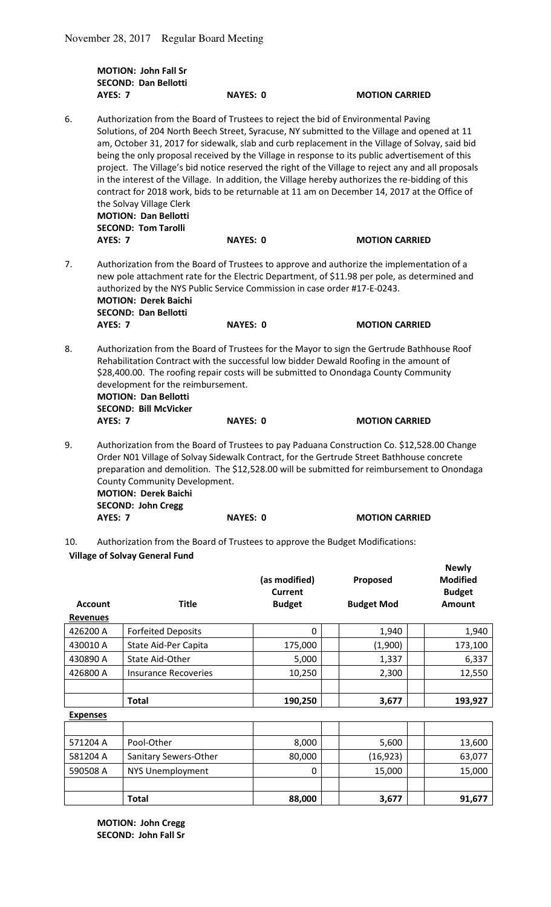|    | <b>MOTION: John Fall Sr</b><br><b>SECOND: Dan Bellotti</b>                                                                                                                                                                                                                                                                                                                                                                                                                                                                                                                                                                                                                                                                                                                                    |                                                                                           |                                                                                                                                                                                            |  |  |
|----|-----------------------------------------------------------------------------------------------------------------------------------------------------------------------------------------------------------------------------------------------------------------------------------------------------------------------------------------------------------------------------------------------------------------------------------------------------------------------------------------------------------------------------------------------------------------------------------------------------------------------------------------------------------------------------------------------------------------------------------------------------------------------------------------------|-------------------------------------------------------------------------------------------|--------------------------------------------------------------------------------------------------------------------------------------------------------------------------------------------|--|--|
|    | AYES: 7                                                                                                                                                                                                                                                                                                                                                                                                                                                                                                                                                                                                                                                                                                                                                                                       | <b>NAYES: 0</b>                                                                           | <b>MOTION CARRIED</b>                                                                                                                                                                      |  |  |
| 6. | Authorization from the Board of Trustees to reject the bid of Environmental Paving<br>Solutions, of 204 North Beech Street, Syracuse, NY submitted to the Village and opened at 11<br>am, October 31, 2017 for sidewalk, slab and curb replacement in the Village of Solvay, said bid<br>being the only proposal received by the Village in response to its public advertisement of this<br>project. The Village's bid notice reserved the right of the Village to reject any and all proposals<br>in the interest of the Village. In addition, the Village hereby authorizes the re-bidding of this<br>contract for 2018 work, bids to be returnable at 11 am on December 14, 2017 at the Office of<br>the Solvay Village Clerk<br><b>MOTION: Dan Bellotti</b><br><b>SECOND: Tom Tarolli</b> |                                                                                           |                                                                                                                                                                                            |  |  |
|    | <b>AYES: 7</b>                                                                                                                                                                                                                                                                                                                                                                                                                                                                                                                                                                                                                                                                                                                                                                                | <b>NAYES: 0</b>                                                                           | <b>MOTION CARRIED</b>                                                                                                                                                                      |  |  |
| 7. | Authorization from the Board of Trustees to approve and authorize the implementation of a<br>new pole attachment rate for the Electric Department, of \$11.98 per pole, as determined and<br>authorized by the NYS Public Service Commission in case order #17-E-0243.<br><b>MOTION: Derek Baichi</b><br><b>SECOND: Dan Bellotti</b>                                                                                                                                                                                                                                                                                                                                                                                                                                                          |                                                                                           |                                                                                                                                                                                            |  |  |
|    | <b>AYES: 7</b>                                                                                                                                                                                                                                                                                                                                                                                                                                                                                                                                                                                                                                                                                                                                                                                | <b>NAYES: 0</b>                                                                           | <b>MOTION CARRIED</b>                                                                                                                                                                      |  |  |
| 8. | Authorization from the Board of Trustees for the Mayor to sign the Gertrude Bathhouse Roof<br>Rehabilitation Contract with the successful low bidder Dewald Roofing in the amount of<br>\$28,400.00. The roofing repair costs will be submitted to Onondaga County Community<br>development for the reimbursement.<br><b>MOTION: Dan Bellotti</b><br><b>SECOND: Bill McVicker</b>                                                                                                                                                                                                                                                                                                                                                                                                             |                                                                                           |                                                                                                                                                                                            |  |  |
|    | <b>AYES: 7</b>                                                                                                                                                                                                                                                                                                                                                                                                                                                                                                                                                                                                                                                                                                                                                                                | <b>NAYES: 0</b>                                                                           | <b>MOTION CARRIED</b>                                                                                                                                                                      |  |  |
| 9. | County Community Development.<br><b>MOTION: Derek Baichi</b><br><b>SECOND: John Cregg</b>                                                                                                                                                                                                                                                                                                                                                                                                                                                                                                                                                                                                                                                                                                     | Order N01 Village of Solvay Sidewalk Contract, for the Gertrude Street Bathhouse concrete | Authorization from the Board of Trustees to pay Paduana Construction Co. \$12,528.00 Change<br>preparation and demolition. The \$12,528.00 will be submitted for reimbursement to Onondaga |  |  |

**AYES: 7** NAYES: 0 MOTION CARRIED

10. Authorization from the Board of Trustees to approve the Budget Modifications: **Village of Solvay General Fund**

| <b>Account</b>  | <b>Title</b>                | (as modified)<br><b>Current</b><br><b>Budget</b> | Proposed<br><b>Budget Mod</b> | <b>Newly</b><br><b>Modified</b><br><b>Budget</b><br>Amount |  |
|-----------------|-----------------------------|--------------------------------------------------|-------------------------------|------------------------------------------------------------|--|
| <b>Revenues</b> |                             |                                                  |                               |                                                            |  |
| 426200 A        | <b>Forfeited Deposits</b>   | 0                                                | 1,940                         | 1,940                                                      |  |
| 430010 A        | State Aid-Per Capita        | 175,000                                          | (1,900)                       | 173,100                                                    |  |
| 430890 A        | State Aid-Other             | 5,000                                            | 1,337                         | 6,337                                                      |  |
| 426800 A        | <b>Insurance Recoveries</b> | 10,250                                           | 2,300                         | 12,550                                                     |  |
|                 |                             |                                                  |                               |                                                            |  |
|                 | <b>Total</b>                | 190,250                                          | 3,677                         | 193,927                                                    |  |
| <b>Expenses</b> |                             |                                                  |                               |                                                            |  |
|                 |                             |                                                  |                               |                                                            |  |
| 571204 A        | Pool-Other                  | 8,000                                            | 5,600                         | 13,600                                                     |  |
| 581204 A        | Sanitary Sewers-Other       | 80,000                                           | (16, 923)                     | 63,077                                                     |  |
| 590508 A        | <b>NYS Unemployment</b>     | 0                                                | 15,000                        | 15,000                                                     |  |
|                 |                             |                                                  |                               |                                                            |  |
|                 | <b>Total</b>                | 88,000                                           | 3,677                         | 91,677                                                     |  |

 **MOTION: John Cregg SECOND: John Fall Sr**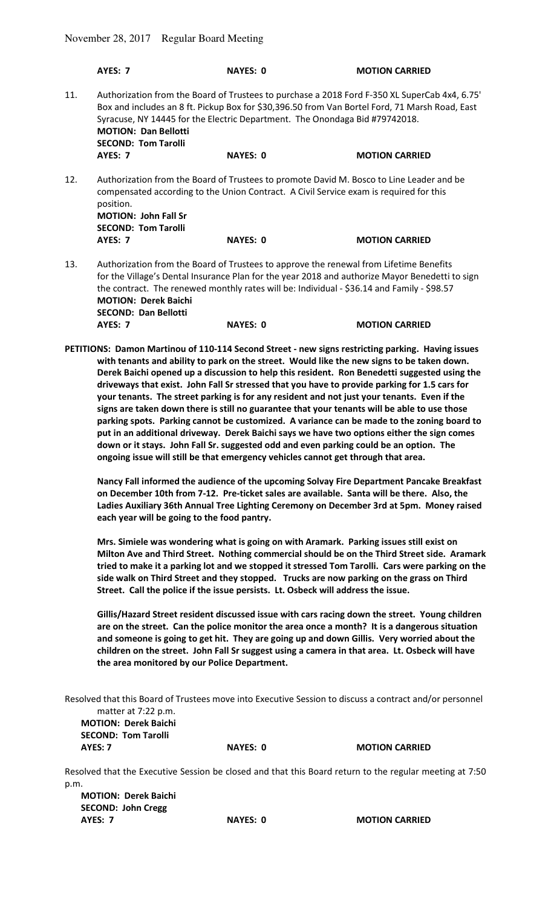**MOTION: Derek Baichi SECOND: Dan Bellotti** 

|     | <b>AYES: 7</b>                                                                                                                                                                                                                                                                          | <b>NAYES: 0</b>                                                             | <b>MOTION CARRIED</b>                                                                                                                                                                           |  |
|-----|-----------------------------------------------------------------------------------------------------------------------------------------------------------------------------------------------------------------------------------------------------------------------------------------|-----------------------------------------------------------------------------|-------------------------------------------------------------------------------------------------------------------------------------------------------------------------------------------------|--|
| 11. | <b>MOTION: Dan Bellotti</b><br><b>SECOND: Tom Tarolli</b>                                                                                                                                                                                                                               | Syracuse, NY 14445 for the Electric Department. The Onondaga Bid #79742018. | Authorization from the Board of Trustees to purchase a 2018 Ford F-350 XL SuperCab 4x4, 6.75'<br>Box and includes an 8 ft. Pickup Box for \$30,396.50 from Van Bortel Ford, 71 Marsh Road, East |  |
|     | <b>AYES: 7</b>                                                                                                                                                                                                                                                                          | <b>NAYES: 0</b>                                                             | <b>MOTION CARRIED</b>                                                                                                                                                                           |  |
| 12. | Authorization from the Board of Trustees to promote David M. Bosco to Line Leader and be<br>compensated according to the Union Contract. A Civil Service exam is required for this<br>position.<br><b>MOTION: John Fall Sr</b><br><b>SECOND: Tom Tarolli</b>                            |                                                                             |                                                                                                                                                                                                 |  |
|     | AYES: 7                                                                                                                                                                                                                                                                                 | <b>NAYES: 0</b>                                                             | <b>MOTION CARRIED</b>                                                                                                                                                                           |  |
| 13. | Authorization from the Board of Trustees to approve the renewal from Lifetime Benefits<br>for the Village's Dental Insurance Plan for the year 2018 and authorize Mayor Benedetti to sign<br>the contract. The renewed monthly rates will be: Individual - \$36.14 and Family - \$98.57 |                                                                             |                                                                                                                                                                                                 |  |

| AYES: 7 | <b>NAYES: 0</b> | <b>MOTION CARRIED</b>                                                                                                                                                                           |
|---------|-----------------|-------------------------------------------------------------------------------------------------------------------------------------------------------------------------------------------------|
|         |                 | PETITIONS: Damon Martinou of 110-114 Second Street - new signs restricting parking. Having issues<br>with tenants and ability to park on the street. Would like the new signs to be taken down. |
|         |                 | Derek Baichi opened up a discussion to help this resident. Ron Benedetti suggested using the                                                                                                    |
|         |                 | driveways that exist. John Fall Sr stressed that you have to provide parking for 1.5 cars for                                                                                                   |
|         |                 | your tenants. The street parking is for any resident and not just your tenants. Even if the<br>ciane are taken down there is still no quarantee that your tenants will be able to use those     |

**signs are taken down there is still no guarantee that your tenants will be able to use those parking spots. Parking cannot be customized. A variance can be made to the zoning board to put in an additional driveway. Derek Baichi says we have two options either the sign comes down or it stays. John Fall Sr. suggested odd and even parking could be an option. The ongoing issue will still be that emergency vehicles cannot get through that area.** 

 **Nancy Fall informed the audience of the upcoming Solvay Fire Department Pancake Breakfast on December 10th from 7-12. Pre-ticket sales are available. Santa will be there. Also, the Ladies Auxiliary 36th Annual Tree Lighting Ceremony on December 3rd at 5pm. Money raised each year will be going to the food pantry.** 

 **Mrs. Simiele was wondering what is going on with Aramark. Parking issues still exist on Milton Ave and Third Street. Nothing commercial should be on the Third Street side. Aramark tried to make it a parking lot and we stopped it stressed Tom Tarolli. Cars were parking on the side walk on Third Street and they stopped. Trucks are now parking on the grass on Third Street. Call the police if the issue persists. Lt. Osbeck will address the issue.** 

 **Gillis/Hazard Street resident discussed issue with cars racing down the street. Young children are on the street. Can the police monitor the area once a month? It is a dangerous situation and someone is going to get hit. They are going up and down Gillis. Very worried about the children on the street. John Fall Sr suggest using a camera in that area. Lt. Osbeck will have the area monitored by our Police Department.** 

|                     | Resolved that this Board of Trustees move into Executive Session to discuss a contract and/or personnel |  |
|---------------------|---------------------------------------------------------------------------------------------------------|--|
| matter at 7:22 p.m. |                                                                                                         |  |

**MOTION: Derek Baichi SECOND: Tom Tarolli AYES: 7** NAYES: 0 MOTION CARRIED

Resolved that the Executive Session be closed and that this Board return to the regular meeting at 7:50 p.m.

**MOTION: Derek Baichi SECOND: John Cregg AYES: 7 NAYES: 0 MOTION CARRIED**